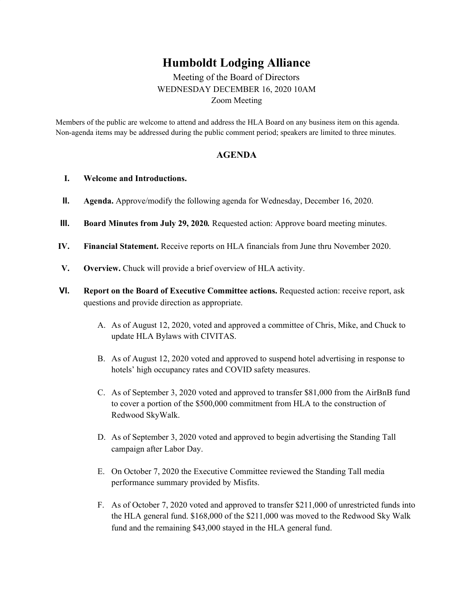## **Humboldt Lodging Alliance**

Meeting of the Board of Directors WEDNESDAY DECEMBER 16, 2020 10AM Zoom Meeting

Members of the public are welcome to attend and address the HLA Board on any business item on this agenda. Non-agenda items may be addressed during the public comment period; speakers are limited to three minutes.

## **AGENDA**

## **I. Welcome and Introductions.**

- **II. Agenda.** Approve/modify the following agenda for Wednesday, December 16, 2020.
- **III. Board Minutes from July 29, 2020***.* Requested action: Approve board meeting minutes.
- **IV. Financial Statement.** Receive reports on HLA financials from June thru November 2020.
- **V. Overview.** Chuck will provide a brief overview of HLA activity.
- **VI. Report on the Board of Executive Committee actions.** Requested action: receive report, ask questions and provide direction as appropriate.
	- A. As of August 12, 2020, voted and approved a committee of Chris, Mike, and Chuck to update HLA Bylaws with CIVITAS.
	- B. As of August 12, 2020 voted and approved to suspend hotel advertising in response to hotels' high occupancy rates and COVID safety measures.
	- C. As of September 3, 2020 voted and approved to transfer \$81,000 from the AirBnB fund to cover a portion of the \$500,000 commitment from HLA to the construction of Redwood SkyWalk.
	- D. As of September 3, 2020 voted and approved to begin advertising the Standing Tall campaign after Labor Day.
	- E. On October 7, 2020 the Executive Committee reviewed the Standing Tall media performance summary provided by Misfits.
	- F. As of October 7, 2020 voted and approved to transfer \$211,000 of unrestricted funds into the HLA general fund. \$168,000 of the \$211,000 was moved to the Redwood Sky Walk fund and the remaining \$43,000 stayed in the HLA general fund.